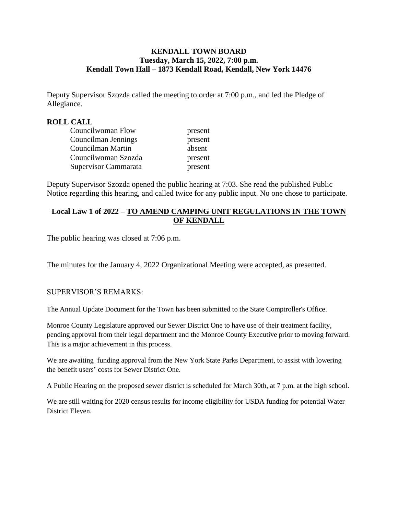# **KENDALL TOWN BOARD Tuesday, March 15, 2022, 7:00 p.m. Kendall Town Hall – 1873 Kendall Road, Kendall, New York 14476**

Deputy Supervisor Szozda called the meeting to order at 7:00 p.m., and led the Pledge of Allegiance.

# **ROLL CALL**

| Councilwoman Flow    | present |
|----------------------|---------|
| Councilman Jennings  | present |
| Councilman Martin    | absent  |
| Councilwoman Szozda  | present |
| Supervisor Cammarata | present |

Deputy Supervisor Szozda opened the public hearing at 7:03. She read the published Public Notice regarding this hearing, and called twice for any public input. No one chose to participate.

# **Local Law 1 of 2022 – TO AMEND CAMPING UNIT REGULATIONS IN THE TOWN OF KENDALL**

The public hearing was closed at 7:06 p.m.

The minutes for the January 4, 2022 Organizational Meeting were accepted, as presented.

### SUPERVISOR'S REMARKS:

The Annual Update Document for the Town has been submitted to the State Comptroller's Office.

Monroe County Legislature approved our Sewer District One to have use of their treatment facility, pending approval from their legal department and the Monroe County Executive prior to moving forward. This is a major achievement in this process.

We are awaiting funding approval from the New York State Parks Department, to assist with lowering the benefit users' costs for Sewer District One.

A Public Hearing on the proposed sewer district is scheduled for March 30th, at 7 p.m. at the high school.

We are still waiting for 2020 census results for income eligibility for USDA funding for potential Water District Eleven.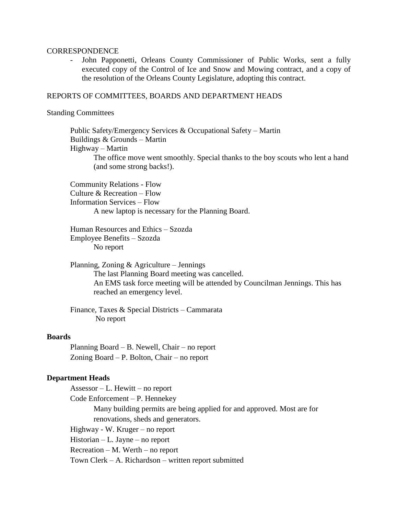#### **CORRESPONDENCE**

John Papponetti, Orleans County Commissioner of Public Works, sent a fully executed copy of the Control of Ice and Snow and Mowing contract, and a copy of the resolution of the Orleans County Legislature, adopting this contract.

### REPORTS OF COMMITTEES, BOARDS AND DEPARTMENT HEADS

#### Standing Committees

 Public Safety/Emergency Services & Occupational Safety – Martin Buildings & Grounds – Martin Highway – Martin The office move went smoothly. Special thanks to the boy scouts who lent a hand (and some strong backs!).

Community Relations - Flow Culture & Recreation – Flow Information Services – Flow A new laptop is necessary for the Planning Board.

Human Resources and Ethics – Szozda Employee Benefits – Szozda No report

Planning, Zoning & Agriculture – Jennings The last Planning Board meeting was cancelled. An EMS task force meeting will be attended by Councilman Jennings. This has reached an emergency level.

Finance, Taxes & Special Districts – Cammarata No report

#### **Boards**

Planning Board – B. Newell, Chair – no report Zoning Board – P. Bolton, Chair – no report

### **Department Heads**

Assessor – L. Hewitt – no report Code Enforcement – P. Hennekey Many building permits are being applied for and approved. Most are for renovations, sheds and generators. Highway - W. Kruger – no report Historian – L. Jayne – no report Recreation – M. Werth – no report Town Clerk – A. Richardson – written report submitted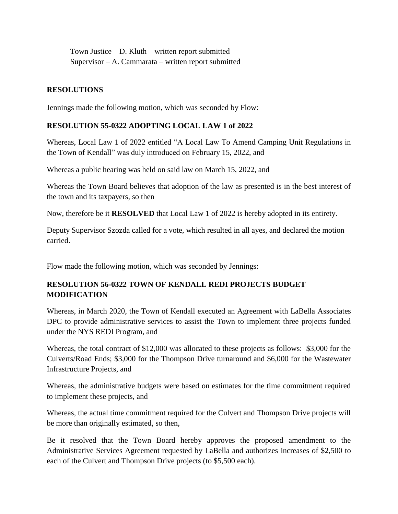Town Justice – D. Kluth – written report submitted Supervisor – A. Cammarata – written report submitted

# **RESOLUTIONS**

Jennings made the following motion, which was seconded by Flow:

# **RESOLUTION 55-0322 ADOPTING LOCAL LAW 1 of 2022**

Whereas, Local Law 1 of 2022 entitled "A Local Law To Amend Camping Unit Regulations in the Town of Kendall" was duly introduced on February 15, 2022, and

Whereas a public hearing was held on said law on March 15, 2022, and

Whereas the Town Board believes that adoption of the law as presented is in the best interest of the town and its taxpayers, so then

Now, therefore be it **RESOLVED** that Local Law 1 of 2022 is hereby adopted in its entirety.

Deputy Supervisor Szozda called for a vote, which resulted in all ayes, and declared the motion carried.

Flow made the following motion, which was seconded by Jennings:

# **RESOLUTION 56-0322 TOWN OF KENDALL REDI PROJECTS BUDGET MODIFICATION**

Whereas, in March 2020, the Town of Kendall executed an Agreement with LaBella Associates DPC to provide administrative services to assist the Town to implement three projects funded under the NYS REDI Program, and

Whereas, the total contract of \$12,000 was allocated to these projects as follows: \$3,000 for the Culverts/Road Ends; \$3,000 for the Thompson Drive turnaround and \$6,000 for the Wastewater Infrastructure Projects, and

Whereas, the administrative budgets were based on estimates for the time commitment required to implement these projects, and

Whereas, the actual time commitment required for the Culvert and Thompson Drive projects will be more than originally estimated, so then,

Be it resolved that the Town Board hereby approves the proposed amendment to the Administrative Services Agreement requested by LaBella and authorizes increases of \$2,500 to each of the Culvert and Thompson Drive projects (to \$5,500 each).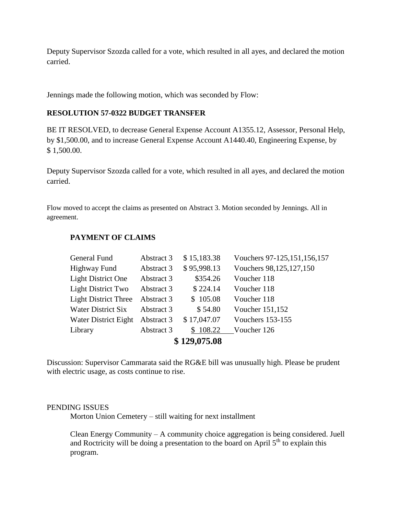Deputy Supervisor Szozda called for a vote, which resulted in all ayes, and declared the motion carried.

Jennings made the following motion, which was seconded by Flow:

## **RESOLUTION 57-0322 BUDGET TRANSFER**

BE IT RESOLVED, to decrease General Expense Account A1355.12, Assessor, Personal Help, by \$1,500.00, and to increase General Expense Account A1440.40, Engineering Expense, by \$ 1,500.00.

Deputy Supervisor Szozda called for a vote, which resulted in all ayes, and declared the motion carried.

Flow moved to accept the claims as presented on Abstract 3. Motion seconded by Jennings. All in agreement.

| \$129,075.08                |            |             |                                |  |
|-----------------------------|------------|-------------|--------------------------------|--|
| Library                     | Abstract 3 | \$108.22    | Voucher 126                    |  |
| Water District Eight        | Abstract 3 | \$17,047.07 | <b>Vouchers 153-155</b>        |  |
| <b>Water District Six</b>   | Abstract 3 | \$54.80     | Voucher 151,152                |  |
| <b>Light District Three</b> | Abstract 3 | \$105.08    | Voucher 118                    |  |
| <b>Light District Two</b>   | Abstract 3 | \$224.14    | Voucher 118                    |  |
| <b>Light District One</b>   | Abstract 3 | \$354.26    | Voucher 118                    |  |
| Highway Fund                | Abstract 3 | \$95,998.13 | Vouchers 98,125,127,150        |  |
| General Fund                | Abstract 3 | \$15,183.38 | Vouchers 97-125, 151, 156, 157 |  |
|                             |            |             |                                |  |

# **PAYMENT OF CLAIMS**

Discussion: Supervisor Cammarata said the RG&E bill was unusually high. Please be prudent with electric usage, as costs continue to rise.

## PENDING ISSUES

Morton Union Cemetery – still waiting for next installment

Clean Energy Community – A community choice aggregation is being considered. Juell and Roctricity will be doing a presentation to the board on April  $5<sup>th</sup>$  to explain this program.